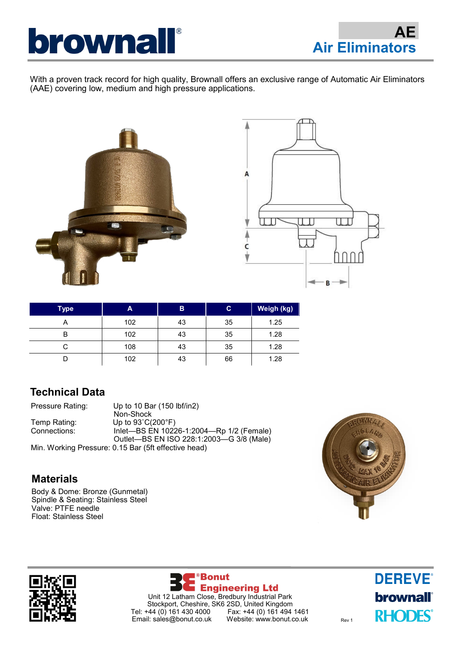

With a proven track record for high quality, Brownall offers an exclusive range of Automatic Air Eliminators (AAE) covering low, medium and high pressure applications.





| <b>Type</b> | A   | B  | C  | Weigh (kg) |
|-------------|-----|----|----|------------|
| A           | 102 | 43 | 35 | 1.25       |
| В           | 102 | 43 | 35 | 1.28       |
|             | 108 | 43 | 35 | 1.28       |
|             | 102 | 43 | 66 | 1.28       |

### **Technical Data**

| Pressure Rating: | Up to 10 Bar (150 lbf/in2)                           |
|------------------|------------------------------------------------------|
|                  | Non-Shock                                            |
| Temp Rating:     | Up to $93^{\circ}$ C(200 $^{\circ}$ F)               |
| Connections:     | Inlet-BS EN 10226-1:2004-Rp 1/2 (Female)             |
|                  | Outlet-BS EN ISO 228:1:2003-G 3/8 (Male)             |
|                  | Min. Working Pressure: 0.15 Bar (5ft effective head) |

### **Materials**

Body & Dome: Bronze (Gunmetal) Spindle & Seating: Stainless Steel Valve: PTFE needle Float: Stainless Steel







**DEREVE® brownall**<sup>®</sup> **RHODES**